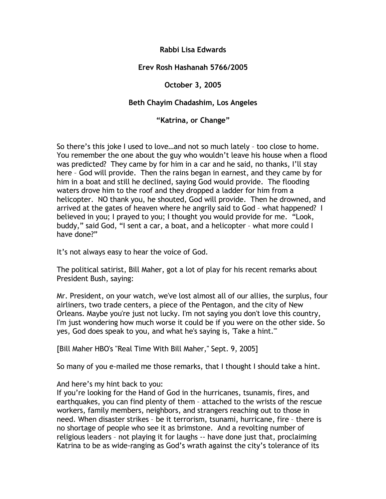## **Rabbi Lisa Edwards**

# **Erev Rosh Hashanah 5766/2005**

# **October 3, 2005**

## **Beth Chayim Chadashim, Los Angeles**

## **"Katrina, or Change"**

So there's this joke I used to love…and not so much lately – too close to home. You remember the one about the guy who wouldn't leave his house when a flood was predicted? They came by for him in a car and he said, no thanks, I'll stay here – God will provide. Then the rains began in earnest, and they came by for him in a boat and still he declined, saying God would provide. The flooding waters drove him to the roof and they dropped a ladder for him from a helicopter. NO thank you, he shouted, God will provide. Then he drowned, and arrived at the gates of heaven where he angrily said to God – what happened? I believed in you; I prayed to you; I thought you would provide for me. "Look, buddy," said God, "I sent a car, a boat, and a helicopter – what more could I have done?"

It's not always easy to hear the voice of God.

The political satirist, Bill Maher, got a lot of play for his recent remarks about President Bush, saying:

Mr. President, on your watch, we've lost almost all of our allies, the surplus, four airliners, two trade centers, a piece of the Pentagon, and the city of New Orleans. Maybe you're just not lucky. I'm not saying you don't love this country, I'm just wondering how much worse it could be if you were on the other side. So yes, God does speak to you, and what he's saying is, 'Take a hint.'"

[Bill Maher HBO's "Real Time With Bill Maher," Sept. 9, 2005]

So many of you e-mailed me those remarks, that I thought I should take a hint.

## And here's my hint back to you:

If you're looking for the Hand of God in the hurricanes, tsunamis, fires, and earthquakes, you can find plenty of them – attached to the wrists of the rescue workers, family members, neighbors, and strangers reaching out to those in need. When disaster strikes – be it terrorism, tsunami, hurricane, fire – there is no shortage of people who see it as brimstone. And a revolting number of religious leaders – not playing it for laughs -- have done just that, proclaiming Katrina to be as wide-ranging as God's wrath against the city's tolerance of its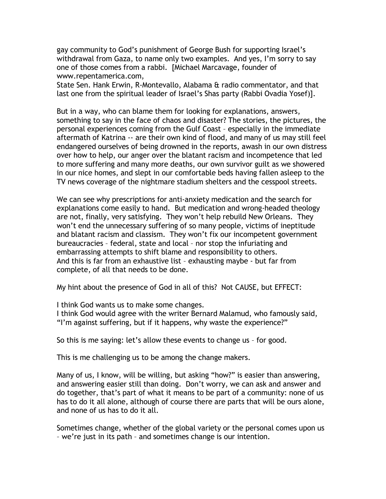gay community to God's punishment of George Bush for supporting Israel's withdrawal from Gaza, to name only two examples. And yes, I'm sorry to say one of those comes from a rabbi. [Michael Marcavage, founder of www.repentamerica.com,

State Sen. Hank Erwin, R-Montevallo, Alabama & radio commentator, and that last one from the spiritual leader of Israel's Shas party (Rabbi Ovadia Yosef)].

But in a way, who can blame them for looking for explanations, answers, something to say in the face of chaos and disaster? The stories, the pictures, the personal experiences coming from the Gulf Coast – especially in the immediate aftermath of Katrina -- are their own kind of flood, and many of us may still feel endangered ourselves of being drowned in the reports, awash in our own distress over how to help, our anger over the blatant racism and incompetence that led to more suffering and many more deaths, our own survivor guilt as we showered in our nice homes, and slept in our comfortable beds having fallen asleep to the TV news coverage of the nightmare stadium shelters and the cesspool streets.

We can see why prescriptions for anti-anxiety medication and the search for explanations come easily to hand. But medication and wrong-headed theology are not, finally, very satisfying. They won't help rebuild New Orleans. They won't end the unnecessary suffering of so many people, victims of ineptitude and blatant racism and classism. They won't fix our incompetent government bureaucracies – federal, state and local – nor stop the infuriating and embarrassing attempts to shift blame and responsibility to others. And this is far from an exhaustive list – exhausting maybe - but far from complete, of all that needs to be done.

My hint about the presence of God in all of this? Not CAUSE, but EFFECT:

I think God wants us to make some changes.

I think God would agree with the writer Bernard Malamud, who famously said, "I'm against suffering, but if it happens, why waste the experience?"

So this is me saying: let's allow these events to change us – for good.

This is me challenging us to be among the change makers.

Many of us, I know, will be willing, but asking "how?" is easier than answering, and answering easier still than doing. Don't worry, we can ask and answer and do together, that's part of what it means to be part of a community: none of us has to do it all alone, although of course there are parts that will be ours alone, and none of us has to do it all.

Sometimes change, whether of the global variety or the personal comes upon us – we're just in its path – and sometimes change is our intention.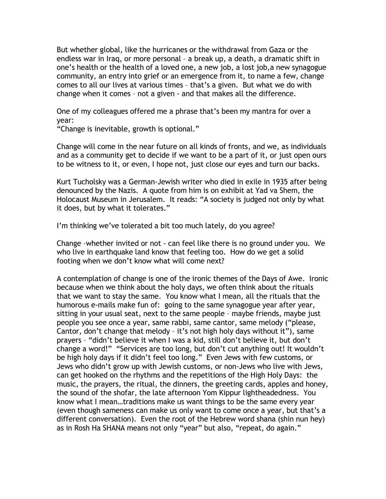But whether global, like the hurricanes or the withdrawal from Gaza or the endless war in Iraq, or more personal – a break up, a death, a dramatic shift in one's health or the health of a loved one, a new job, a lost job,a new synagogue community, an entry into grief or an emergence from it, to name a few, change comes to all our lives at various times – that's a given. But what we do with change when it comes – not a given - and that makes all the difference.

One of my colleagues offered me a phrase that's been my mantra for over a year:

"Change is inevitable, growth is optional."

Change will come in the near future on all kinds of fronts, and we, as individuals and as a community get to decide if we want to be a part of it, or just open ours to be witness to it, or even, I hope not, just close our eyes and turn our backs.

Kurt Tucholsky was a German-Jewish writer who died in exile in 1935 after being denounced by the Nazis. A quote from him is on exhibit at Yad va Shem, the Holocaust Museum in Jerusalem. It reads: "A society is judged not only by what it does, but by what it tolerates."

I'm thinking we've tolerated a bit too much lately, do you agree?

Change –whether invited or not - can feel like there is no ground under you. We who live in earthquake land know that feeling too. How do we get a solid footing when we don't know what will come next?

A contemplation of change is one of the ironic themes of the Days of Awe. Ironic because when we think about the holy days, we often think about the rituals that we want to stay the same. You know what I mean, all the rituals that the humorous e-mails make fun of: going to the same synagogue year after year, sitting in your usual seat, next to the same people – maybe friends, maybe just people you see once a year, same rabbi, same cantor, same melody ("please, Cantor, don't change that melody – it's not high holy days without it"), same prayers – "didn't believe it when I was a kid, still don't believe it, but don't change a word!" "Services are too long, but don't cut anything out! It wouldn't be high holy days if it didn't feel too long." Even Jews with few customs, or Jews who didn't grow up with Jewish customs, or non-Jews who live with Jews, can get hooked on the rhythms and the repetitions of the High Holy Days: the music, the prayers, the ritual, the dinners, the greeting cards, apples and honey, the sound of the shofar, the late afternoon Yom Kippur lightheadedness. You know what I mean…traditions make us want things to be the same every year (even though sameness can make us only want to come once a year, but that's a different conversation). Even the root of the Hebrew word shana (shin nun hey) as in Rosh Ha SHANA means not only "year" but also, "repeat, do again."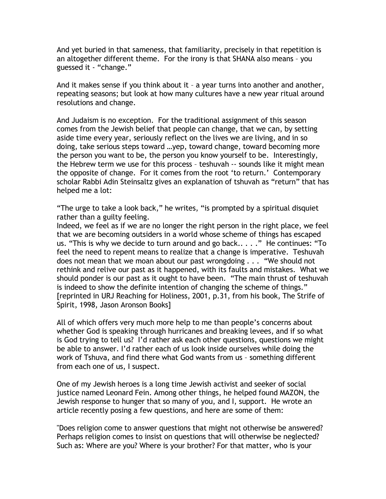And yet buried in that sameness, that familiarity, precisely in that repetition is an altogether different theme. For the irony is that SHANA also means – you guessed it - "change."

And it makes sense if you think about it – a year turns into another and another, repeating seasons; but look at how many cultures have a new year ritual around resolutions and change.

And Judaism is no exception. For the traditional assignment of this season comes from the Jewish belief that people can change, that we can, by setting aside time every year, seriously reflect on the lives we are living, and in so doing, take serious steps toward …yep, toward change, toward becoming more the person you want to be, the person you know yourself to be. Interestingly, the Hebrew term we use for this process – teshuvah -- sounds like it might mean the opposite of change. For it comes from the root 'to return.' Contemporary scholar Rabbi Adin Steinsaltz gives an explanation of tshuvah as "return" that has helped me a lot:

"The urge to take a look back," he writes, "is prompted by a spiritual disquiet rather than a guilty feeling.

Indeed, we feel as if we are no longer the right person in the right place, we feel that we are becoming outsiders in a world whose scheme of things has escaped us. "This is why we decide to turn around and go back.. . . ." He continues: "To feel the need to repent means to realize that a change is imperative. Teshuvah does not mean that we moan about our past wrongdoing . . . "We should not rethink and relive our past as it happened, with its faults and mistakes. What we should ponder is our past as it ought to have been. "The main thrust of teshuvah is indeed to show the definite intention of changing the scheme of things." [reprinted in URJ Reaching for Holiness, 2001, p.31, from his book, The Strife of Spirit, 1998, Jason Aronson Books]

All of which offers very much more help to me than people's concerns about whether God is speaking through hurricanes and breaking levees, and if so what is God trying to tell us? I'd rather ask each other questions, questions we might be able to answer. I'd rather each of us look inside ourselves while doing the work of Tshuva, and find there what God wants from us – something different from each one of us, I suspect.

One of my Jewish heroes is a long time Jewish activist and seeker of social justice named Leonard Fein. Among other things, he helped found MAZON, the Jewish response to hunger that so many of you, and I, support. He wrote an article recently posing a few questions, and here are some of them:

"Does religion come to answer questions that might not otherwise be answered? Perhaps religion comes to insist on questions that will otherwise be neglected? Such as: Where are you? Where is your brother? For that matter, who is your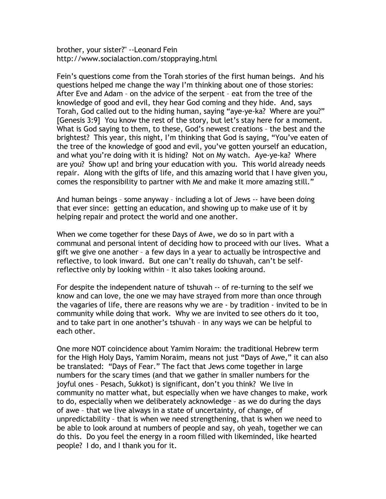brother, your sister?" --Leonard Fein http://www.socialaction.com/stoppraying.html

Fein's questions come from the Torah stories of the first human beings. And his questions helped me change the way I'm thinking about one of those stories: After Eve and Adam – on the advice of the serpent – eat from the tree of the knowledge of good and evil, they hear God coming and they hide. And, says Torah, God called out to the hiding human, saying "aye-ye-ka? Where are you?" [Genesis 3:9] You know the rest of the story, but let's stay here for a moment. What is God saying to them, to these, God's newest creations – the best and the brightest? This year, this night, I'm thinking that God is saying, "You've eaten of the tree of the knowledge of good and evil, you've gotten yourself an education, and what you're doing with it is hiding? Not on My watch. Aye-ye-ka? Where are you? Show up! and bring your education with you. This world already needs repair. Along with the gifts of life, and this amazing world that I have given you, comes the responsibility to partner with Me and make it more amazing still."

And human beings – some anyway – including a lot of Jews -- have been doing that ever since: getting an education, and showing up to make use of it by helping repair and protect the world and one another.

When we come together for these Days of Awe, we do so in part with a communal and personal intent of deciding how to proceed with our lives. What a gift we give one another – a few days in a year to actually be introspective and reflective, to look inward. But one can't really do tshuvah, can't be selfreflective only by looking within – it also takes looking around.

For despite the independent nature of tshuvah -- of re-turning to the self we know and can love, the one we may have strayed from more than once through the vagaries of life, there are reasons why we are - by tradition - invited to be in community while doing that work. Why we are invited to see others do it too, and to take part in one another's tshuvah – in any ways we can be helpful to each other.

One more NOT coincidence about Yamim Noraim: the traditional Hebrew term for the High Holy Days, Yamim Noraim, means not just "Days of Awe," it can also be translated: "Days of Fear." The fact that Jews come together in large numbers for the scary times (and that we gather in smaller numbers for the joyful ones – Pesach, Sukkot) is significant, don't you think? We live in community no matter what, but especially when we have changes to make, work to do, especially when we deliberately acknowledge – as we do during the days of awe – that we live always in a state of uncertainty, of change, of unpredictability – that is when we need strengthening, that is when we need to be able to look around at numbers of people and say, oh yeah, together we can do this. Do you feel the energy in a room filled with likeminded, like hearted people? I do, and I thank you for it.